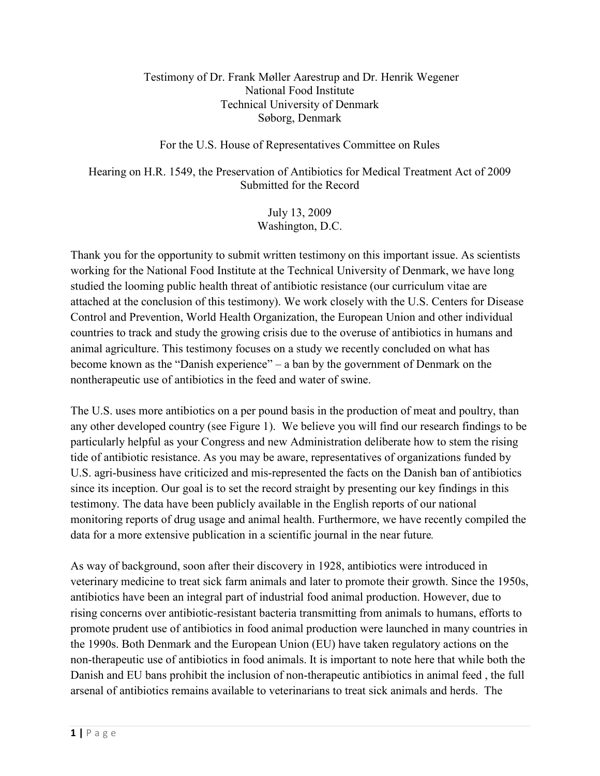## Testimony of Dr. Frank Møller Aarestrup and Dr. Henrik Wegener National Food Institute Technical University of Denmark Søborg, Denmark

## For the U.S. House of Representatives Committee on Rules

Hearing on H.R. 1549, the Preservation of Antibiotics for Medical Treatment Act of 2009 Submitted for the Record

> July 13, 2009 Washington, D.C.

Thank you for the opportunity to submit written testimony on this important issue. As scientists working for the National Food Institute at the Technical University of Denmark, we have long studied the looming public health threat of antibiotic resistance (our curriculum vitae are attached at the conclusion of this testimony). We work closely with the U.S. Centers for Disease Control and Prevention, World Health Organization, the European Union and other individual countries to track and study the growing crisis due to the overuse of antibiotics in humans and animal agriculture. This testimony focuses on a study we recently concluded on what has become known as the "Danish experience" – a ban by the government of Denmark on the nontherapeutic use of antibiotics in the feed and water of swine.

The U.S. uses more antibiotics on a per pound basis in the production of meat and poultry, than any other developed country (see Figure 1). We believe you will find our research findings to be particularly helpful as your Congress and new Administration deliberate how to stem the rising tide of antibiotic resistance. As you may be aware, representatives of organizations funded by U.S. agri-business have criticized and mis-represented the facts on the Danish ban of antibiotics since its inception. Our goal is to set the record straight by presenting our key findings in this testimony. The data have been publicly available in the English reports of our national monitoring reports of drug usage and animal health. Furthermore, we have recently compiled the data for a more extensive publication in a scientific journal in the near future*.*

As way of background, soon after their discovery in 1928, antibiotics were introduced in veterinary medicine to treat sick farm animals and later to promote their growth. Since the 1950s, antibiotics have been an integral part of industrial food animal production. However, due to rising concerns over antibiotic-resistant bacteria transmitting from animals to humans, efforts to promote prudent use of antibiotics in food animal production were launched in many countries in the 1990s. Both Denmark and the European Union (EU) have taken regulatory actions on the non-therapeutic use of antibiotics in food animals. It is important to note here that while both the Danish and EU bans prohibit the inclusion of non-therapeutic antibiotics in animal feed , the full arsenal of antibiotics remains available to veterinarians to treat sick animals and herds. The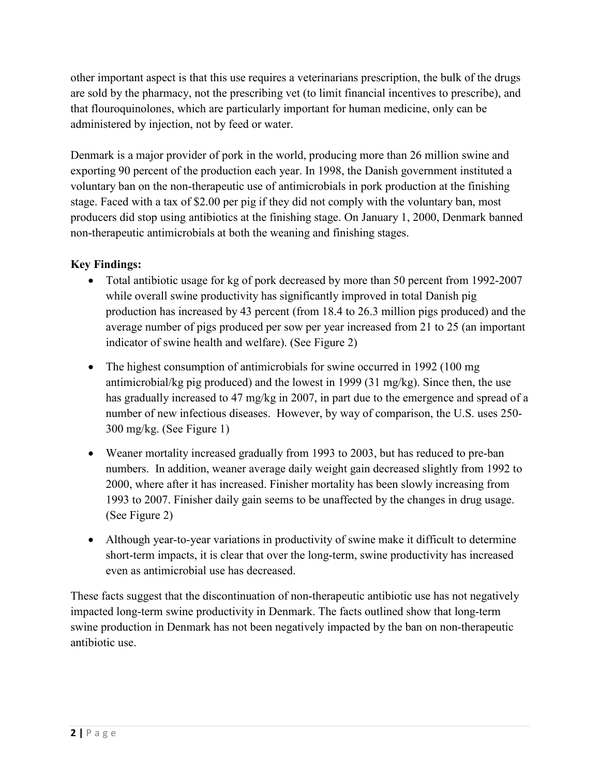other important aspect is that this use requires a veterinarians prescription, the bulk of the drugs are sold by the pharmacy, not the prescribing vet (to limit financial incentives to prescribe), and that flouroquinolones, which are particularly important for human medicine, only can be administered by injection, not by feed or water.

Denmark is a major provider of pork in the world, producing more than 26 million swine and exporting 90 percent of the production each year. In 1998, the Danish government instituted a voluntary ban on the non-therapeutic use of antimicrobials in pork production at the finishing stage. Faced with a tax of \$2.00 per pig if they did not comply with the voluntary ban, most producers did stop using antibiotics at the finishing stage. On January 1, 2000, Denmark banned non-therapeutic antimicrobials at both the weaning and finishing stages.

## **Key Findings:**

- Total antibiotic usage for kg of pork decreased by more than 50 percent from 1992-2007 while overall swine productivity has significantly improved in total Danish pig production has increased by 43 percent (from 18.4 to 26.3 million pigs produced) and the average number of pigs produced per sow per year increased from 21 to 25 (an important indicator of swine health and welfare). (See Figure 2)
- The highest consumption of antimicrobials for swine occurred in 1992 (100 mg) antimicrobial/kg pig produced) and the lowest in 1999 (31 mg/kg). Since then, the use has gradually increased to 47 mg/kg in 2007, in part due to the emergence and spread of a number of new infectious diseases. However, by way of comparison, the U.S. uses 250- 300 mg/kg. (See Figure 1)
- Weaner mortality increased gradually from 1993 to 2003, but has reduced to pre-ban numbers. In addition, weaner average daily weight gain decreased slightly from 1992 to 2000, where after it has increased. Finisher mortality has been slowly increasing from 1993 to 2007. Finisher daily gain seems to be unaffected by the changes in drug usage. (See Figure 2)
- Although year-to-year variations in productivity of swine make it difficult to determine short-term impacts, it is clear that over the long-term, swine productivity has increased even as antimicrobial use has decreased.

These facts suggest that the discontinuation of non-therapeutic antibiotic use has not negatively impacted long-term swine productivity in Denmark. The facts outlined show that long-term swine production in Denmark has not been negatively impacted by the ban on non-therapeutic antibiotic use.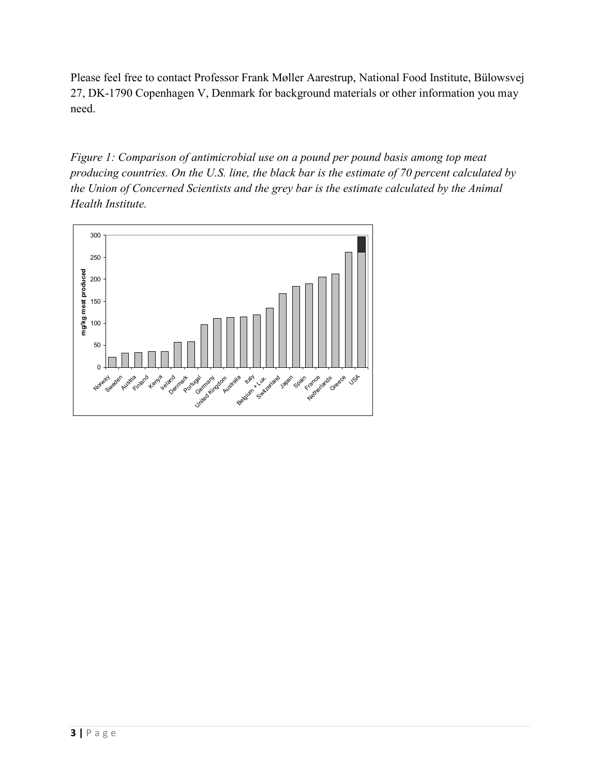Please feel free to contact Professor Frank Møller Aarestrup, National Food Institute, Bülowsvej 27, DK-1790 Copenhagen V, Denmark for background materials or other information you may need.

*Figure 1: Comparison of antimicrobial use on a pound per pound basis among top meat producing countries. On the U.S. line, the black bar is the estimate of 70 percent calculated by the Union of Concerned Scientists and the grey bar is the estimate calculated by the Animal Health Institute.*